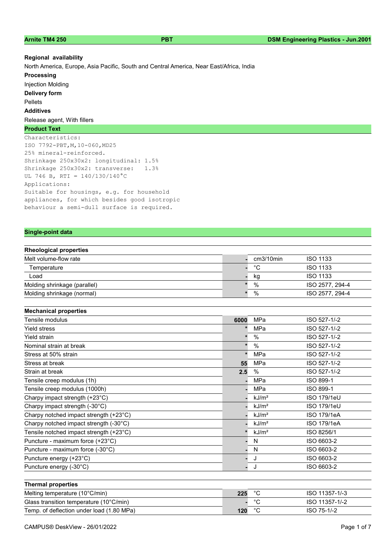#### Regional availability

North America, Europe, Asia Pacific, South and Central America, Near East/Africa, India

## **Processing**

Injection Molding Delivery form Pellets Additives Release agent, With fillers

### Product Text

Characteristics: ISO 7792-PBT,M,10-060,MD25 25% mineral-reinforced. Shrinkage 250x30x2: longitudinal: 1.5% Shrinkage 250x30x2: transverse: 1.3% UL 746 B, RTI =  $140/130/140^{\circ}$ C Applications: Suitable for housings, e.g. for household appliances, for which besides good isotropic behaviour a semi-dull surface is required.

### Single-point data the control of the control of the control of the control of the control of the control of th

|  |  | <b>Rheological properties</b> |
|--|--|-------------------------------|
|  |  |                               |

| .                            |  |              |                 |
|------------------------------|--|--------------|-----------------|
| Melt volume-flow rate        |  | $cm3/10$ min | <b>ISO 1133</b> |
| Temperature                  |  | °С           | <b>ISO 1133</b> |
| Load                         |  | kg           | <b>ISO 1133</b> |
| Molding shrinkage (parallel) |  | $\%$         | ISO 2577, 294-4 |
| Molding shrinkage (normal)   |  | %            | ISO 2577, 294-4 |
|                              |  |              |                 |

| <b>Mechanical properties</b>            |      |                   |                    |
|-----------------------------------------|------|-------------------|--------------------|
| Tensile modulus                         | 6000 | <b>MPa</b>        | ISO 527-1/-2       |
| Yield stress                            |      | <b>MPa</b>        | ISO 527-1/-2       |
| Yield strain                            |      | $\%$              | ISO 527-1/-2       |
| Nominal strain at break                 |      | $\%$              | ISO 527-1/-2       |
| Stress at 50% strain                    |      | <b>MPa</b>        | ISO 527-1/-2       |
| Stress at break                         | 55   | MPa               | ISO 527-1/-2       |
| Strain at break                         | 2.5  | $\%$              | ISO 527-1/-2       |
| Tensile creep modulus (1h)              |      | MPa               | ISO 899-1          |
| Tensile creep modulus (1000h)           |      | <b>MPa</b>        | ISO 899-1          |
| Charpy impact strength (+23°C)          |      | kJ/m <sup>2</sup> | <b>ISO 179/1eU</b> |
| Charpy impact strength (-30°C)          |      | kJ/m <sup>2</sup> | <b>ISO 179/1eU</b> |
| Charpy notched impact strength (+23°C)  |      | kJ/m <sup>2</sup> | ISO 179/1eA        |
| Charpy notched impact strength (-30°C)  |      | kJ/m <sup>2</sup> | <b>ISO 179/1eA</b> |
| Tensile notched impact strength (+23°C) |      | kJ/m <sup>2</sup> | ISO 8256/1         |
| Puncture - maximum force (+23°C)        |      | N                 | ISO 6603-2         |
| Puncture - maximum force (-30°C)        |      | N                 | ISO 6603-2         |
| Puncture energy (+23°C)                 |      | J                 | ISO 6603-2         |
| Puncture energy (-30°C)                 |      | J                 | ISO 6603-2         |
|                                         |      |                   |                    |
| <b>Thermal properties</b>               |      |                   |                    |

| Melting temperature (10°C/min)            | 225 |         | ISO 11357-1/-3 |
|-------------------------------------------|-----|---------|----------------|
| Glass transition temperature (10°C/min)   |     | $\circ$ | ISO 11357-1/-2 |
| Temp. of deflection under load (1.80 MPa) | 120 | $\circ$ | ISO 75-1/-2    |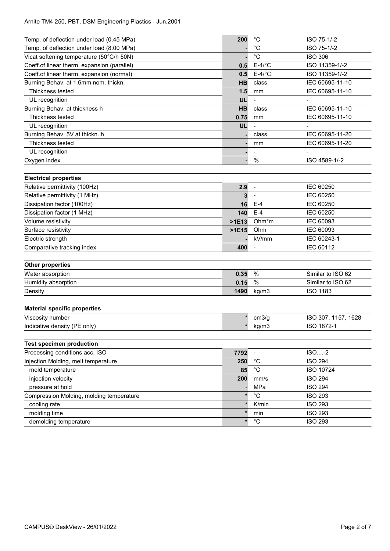# Arnite TM4 250, PBT, DSM Engineering Plastics - Jun.2001

| Temp. of deflection under load (0.45 MPa)   | 200       | $^{\circ}C$                  | ISO 75-1/-2         |
|---------------------------------------------|-----------|------------------------------|---------------------|
| Temp. of deflection under load (8.00 MPa)   |           | $^{\circ}C$                  | ISO 75-1/-2         |
| Vicat softening temperature (50°C/h 50N)    |           | $^{\circ}C$                  | <b>ISO 306</b>      |
| Coeff.of linear therm. expansion (parallel) | 0.5       | $E-4$ /°C                    | ISO 11359-1/-2      |
| Coeff.of linear therm. expansion (normal)   | 0.5       | $E-4$ /°C                    | ISO 11359-1/-2      |
| Burning Behav. at 1.6mm nom. thickn.        | <b>HB</b> | class                        | IEC 60695-11-10     |
| Thickness tested                            | 1.5       | mm                           | IEC 60695-11-10     |
| UL recognition                              | UL        | $\frac{1}{2}$                |                     |
| Burning Behav. at thickness h               | <b>HB</b> | class                        | IEC 60695-11-10     |
| Thickness tested                            | 0.75      | mm                           | IEC 60695-11-10     |
| UL recognition                              | UL        |                              |                     |
| Burning Behav. 5V at thickn. h              |           | class                        | IEC 60695-11-20     |
| Thickness tested                            |           | mm                           | IEC 60695-11-20     |
| UL recognition                              |           | $\qquad \qquad \blacksquare$ |                     |
| Oxygen index                                |           | %                            | ISO 4589-1/-2       |
| <b>Electrical properties</b>                |           |                              |                     |
| Relative permittivity (100Hz)               | 2.9       | $\overline{\phantom{a}}$     | IEC 60250           |
| Relative permittivity (1 MHz)               | 3         | $\qquad \qquad \blacksquare$ | IEC 60250           |
| Dissipation factor (100Hz)                  | 16        | $E-4$                        | IEC 60250           |
| Dissipation factor (1 MHz)                  | 140       | $E-4$                        | IEC 60250           |
| Volume resistivity                          | $>1E13$   | Ohm <sup>*</sup> m           | IEC 60093           |
| Surface resistivity                         | $>1E15$   | Ohm                          | IEC 60093           |
| Electric strength                           |           | kV/mm                        | IEC 60243-1         |
| Comparative tracking index                  | 400       |                              | IEC 60112           |
|                                             |           |                              |                     |
| <b>Other properties</b>                     |           |                              |                     |
| Water absorption                            | 0.35      | %                            | Similar to ISO 62   |
| Humidity absorption                         | 0.15      | %                            | Similar to ISO 62   |
| Density                                     | 1490      | kg/m3                        | <b>ISO 1183</b>     |
| <b>Material specific properties</b>         |           |                              |                     |
| Viscosity number                            | $\star$   | cm3/g                        | ISO 307, 1157, 1628 |
| Indicative density (PE only)                |           | kg/m3                        | ISO 1872-1          |
|                                             |           |                              |                     |
| <b>Test specimen production</b>             |           |                              |                     |
| Processing conditions acc. ISO              | 7792      | $\blacksquare$               | $ISO - 2$           |
| Injection Molding, melt temperature         | 250       | $^{\circ}C$                  | <b>ISO 294</b>      |
| mold temperature                            | 85        | $^{\circ}C$                  | ISO 10724           |
| injection velocity                          | 200       | mm/s                         | <b>ISO 294</b>      |
| pressure at hold                            |           | MPa                          | <b>ISO 294</b>      |
| Compression Molding, molding temperature    | $\star$   | $^{\circ}C$                  | <b>ISO 293</b>      |
| cooling rate                                | $\star$   | K/min                        | <b>ISO 293</b>      |
| molding time                                | $\star$   | min                          | <b>ISO 293</b>      |
| demolding temperature                       | $\star$   | $^{\circ}C$                  | <b>ISO 293</b>      |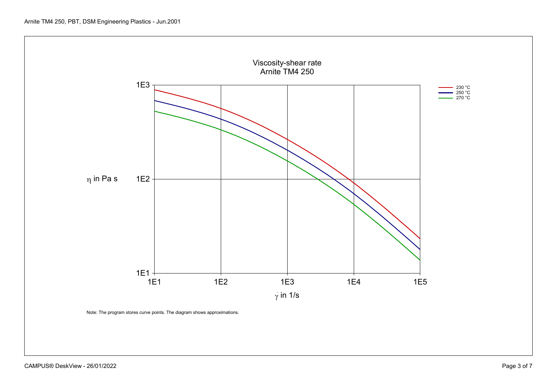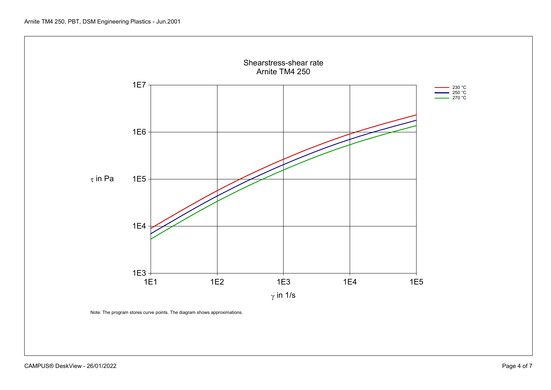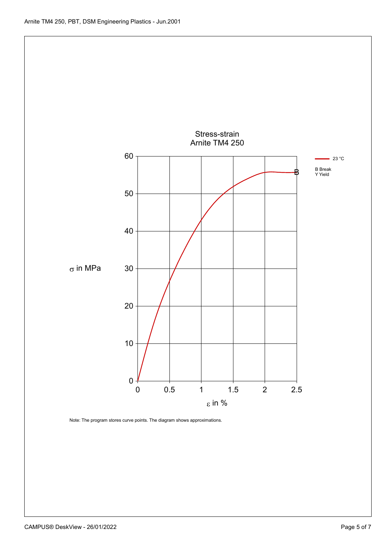

CAMPUS® DeskView - 26/01/2022 2000 Page 5 of 7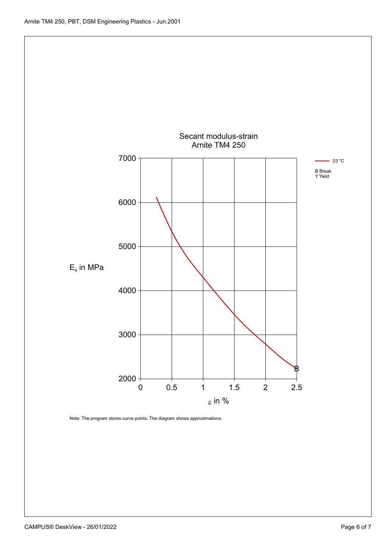